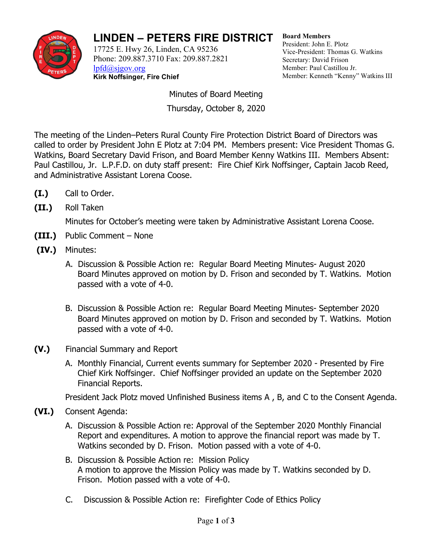

## **LINDEN – PETERS FIRE DISTRICT**

17725 E. Hwy 26, Linden, CA 95236 Phone: 209.887.3710 Fax: 209.887.2821 [lpfd@sjgov.org](mailto:lpfd@sjgov.org) **Kirk Noffsinger, Fire Chief**

**Board Members** President: John E. Plotz Vice-President: Thomas G. Watkins Secretary: David Frison Member: Paul Castillou Jr. Member: Kenneth "Kenny" Watkins III

Minutes of Board Meeting Thursday, October 8, 2020

The meeting of the Linden–Peters Rural County Fire Protection District Board of Directors was called to order by President John E Plotz at 7:04 PM. Members present: Vice President Thomas G. Watkins, Board Secretary David Frison, and Board Member Kenny Watkins III. Members Absent: Paul Castillou, Jr. L.P.F.D. on duty staff present: Fire Chief Kirk Noffsinger, Captain Jacob Reed, and Administrative Assistant Lorena Coose.

- **(I.)** Call to Order.
- **(II.)** Roll Taken

Minutes for October's meeting were taken by Administrative Assistant Lorena Coose.

- **(III.)** Public Comment None
- **(IV.)** Minutes:
	- A. Discussion & Possible Action re: Regular Board Meeting Minutes- August 2020 Board Minutes approved on motion by D. Frison and seconded by T. Watkins. Motion passed with a vote of 4-0.
	- B. Discussion & Possible Action re: Regular Board Meeting Minutes- September 2020 Board Minutes approved on motion by D. Frison and seconded by T. Watkins. Motion passed with a vote of 4-0.
- **(V.)** Financial Summary and Report
	- A. Monthly Financial, Current events summary for September 2020 Presented by Fire Chief Kirk Noffsinger. Chief Noffsinger provided an update on the September 2020 Financial Reports.

President Jack Plotz moved Unfinished Business items A , B, and C to the Consent Agenda.

- **(VI.)** Consent Agenda:
	- A. Discussion & Possible Action re: Approval of the September 2020 Monthly Financial Report and expenditures. A motion to approve the financial report was made by T. Watkins seconded by D. Frison. Motion passed with a vote of 4-0.
	- B. Discussion & Possible Action re: Mission Policy A motion to approve the Mission Policy was made by T. Watkins seconded by D. Frison. Motion passed with a vote of 4-0.
	- C. Discussion & Possible Action re: Firefighter Code of Ethics Policy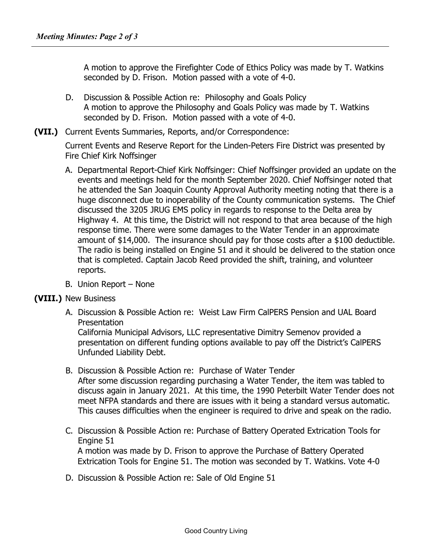A motion to approve the Firefighter Code of Ethics Policy was made by T. Watkins seconded by D. Frison. Motion passed with a vote of 4-0.

- D. Discussion & Possible Action re: Philosophy and Goals Policy A motion to approve the Philosophy and Goals Policy was made by T. Watkins seconded by D. Frison. Motion passed with a vote of 4-0.
- **(VII.)** Current Events Summaries, Reports, and/or Correspondence:

Current Events and Reserve Report for the Linden-Peters Fire District was presented by Fire Chief Kirk Noffsinger

- A. Departmental Report-Chief Kirk Noffsinger: Chief Noffsinger provided an update on the events and meetings held for the month September 2020. Chief Noffsinger noted that he attended the San Joaquin County Approval Authority meeting noting that there is a huge disconnect due to inoperability of the County communication systems. The Chief discussed the 3205 JRUG EMS policy in regards to response to the Delta area by Highway 4. At this time, the District will not respond to that area because of the high response time. There were some damages to the Water Tender in an approximate amount of \$14,000. The insurance should pay for those costs after a \$100 deductible. The radio is being installed on Engine 51 and it should be delivered to the station once that is completed. Captain Jacob Reed provided the shift, training, and volunteer reports.
- B. Union Report None

## **(VIII.)** New Business

A. Discussion & Possible Action re: Weist Law Firm CalPERS Pension and UAL Board Presentation

California Municipal Advisors, LLC representative Dimitry Semenov provided a presentation on different funding options available to pay off the District's CalPERS Unfunded Liability Debt.

- B. Discussion & Possible Action re: Purchase of Water Tender After some discussion regarding purchasing a Water Tender, the item was tabled to discuss again in January 2021. At this time, the 1990 Peterbilt Water Tender does not meet NFPA standards and there are issues with it being a standard versus automatic. This causes difficulties when the engineer is required to drive and speak on the radio.
- C. Discussion & Possible Action re: Purchase of Battery Operated Extrication Tools for Engine 51 A motion was made by D. Frison to approve the Purchase of Battery Operated Extrication Tools for Engine 51. The motion was seconded by T. Watkins. Vote 4-0
- D. Discussion & Possible Action re: Sale of Old Engine 51